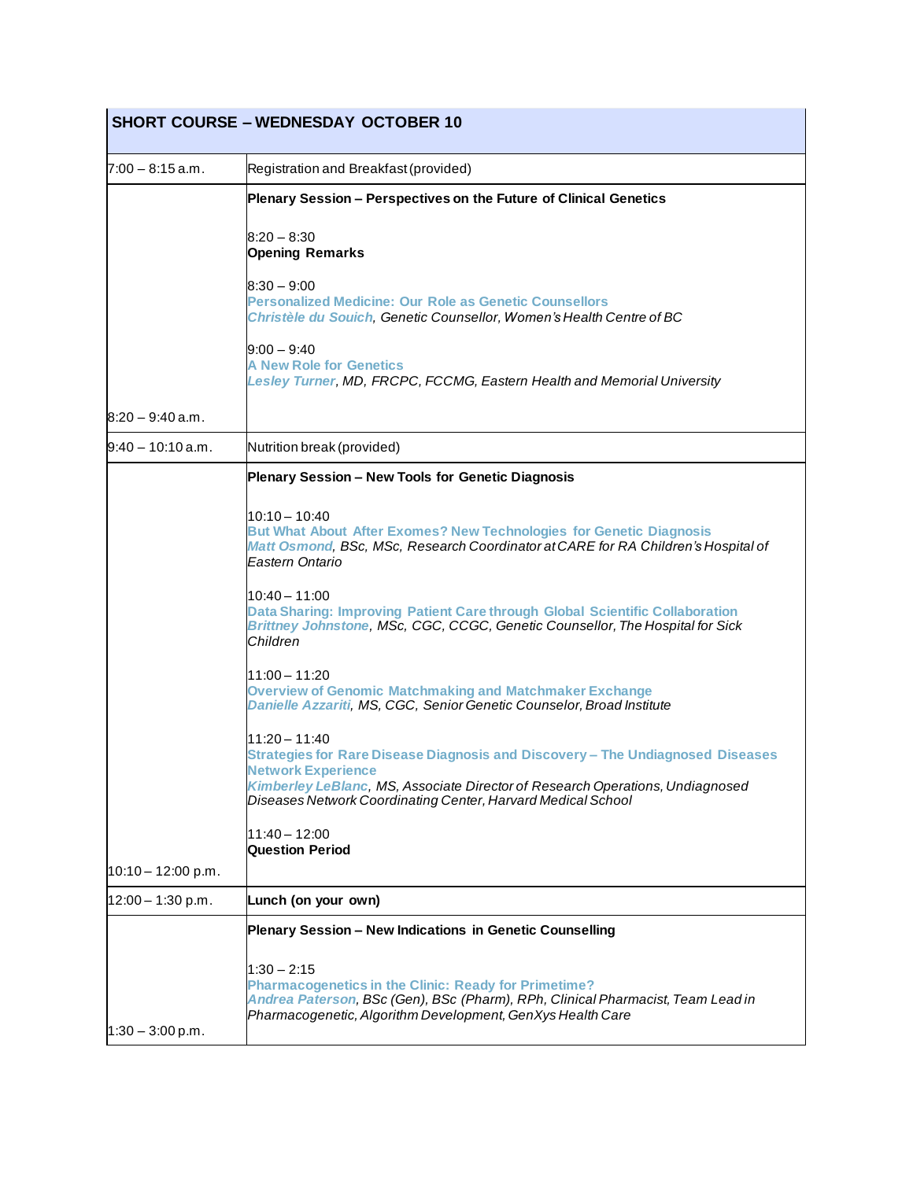|                      | <b>SHORT COURSE - WEDNESDAY OCTOBER 10</b>                                                                                                                                                                                    |
|----------------------|-------------------------------------------------------------------------------------------------------------------------------------------------------------------------------------------------------------------------------|
| $7:00 - 8:15$ a.m.   | Registration and Breakfast (provided)                                                                                                                                                                                         |
|                      | Plenary Session - Perspectives on the Future of Clinical Genetics<br>$8:20 - 8:30$                                                                                                                                            |
|                      | <b>Opening Remarks</b>                                                                                                                                                                                                        |
|                      | $8:30 - 9:00$<br><b>Personalized Medicine: Our Role as Genetic Counsellors</b><br>Christèle du Souich, Genetic Counsellor, Women's Health Centre of BC                                                                        |
|                      | $9:00 - 9:40$<br><b>A New Role for Genetics</b><br>Lesley Turner, MD, FRCPC, FCCMG, Eastern Health and Memorial University                                                                                                    |
| $8:20 - 9:40$ a.m.   |                                                                                                                                                                                                                               |
| l9:40 – 10:10 a.m.   | Nutrition break (provided)                                                                                                                                                                                                    |
|                      | Plenary Session - New Tools for Genetic Diagnosis                                                                                                                                                                             |
|                      | 10:10 - 10:40<br><b>But What About After Exomes? New Technologies for Genetic Diagnosis</b><br>Matt Osmond, BSc, MSc, Research Coordinator at CARE for RA Children's Hospital of<br>Eastern Ontario                           |
|                      | 10:40 - 11:00<br>Data Sharing: Improving Patient Care through Global Scientific Collaboration<br>Brittney Johnstone, MSc, CGC, CCGC, Genetic Counsellor, The Hospital for Sick<br>Children                                    |
|                      | 11:00 - 11:20<br><b>Overview of Genomic Matchmaking and Matchmaker Exchange</b><br>Danielle Azzariti, MS, CGC, Senior Genetic Counselor, Broad Institute                                                                      |
|                      | $11:20 - 11:40$<br>Strategies for Rare Disease Diagnosis and Discovery - The Undiagnosed Diseases<br><b>Network Experience</b><br>Kimberley LeBlanc, MS, Associate Director of Research Operations, Undiagnosed               |
|                      | Diseases Network Coordinating Center, Harvard Medical School                                                                                                                                                                  |
|                      | $11:40 - 12:00$<br><b>Question Period</b>                                                                                                                                                                                     |
| $10:10 - 12:00$ p.m. |                                                                                                                                                                                                                               |
| $12:00 - 1:30$ p.m.  | Lunch (on your own)                                                                                                                                                                                                           |
|                      | Plenary Session - New Indications in Genetic Counselling                                                                                                                                                                      |
| $1:30 - 3:00$ p.m.   | $1:30 - 2:15$<br><b>Pharmacogenetics in the Clinic: Ready for Primetime?</b><br>Andrea Paterson, BSc (Gen), BSc (Pharm), RPh, Clinical Pharmacist, Team Lead in<br>Pharmacogenetic, Algorithm Development, GenXys Health Care |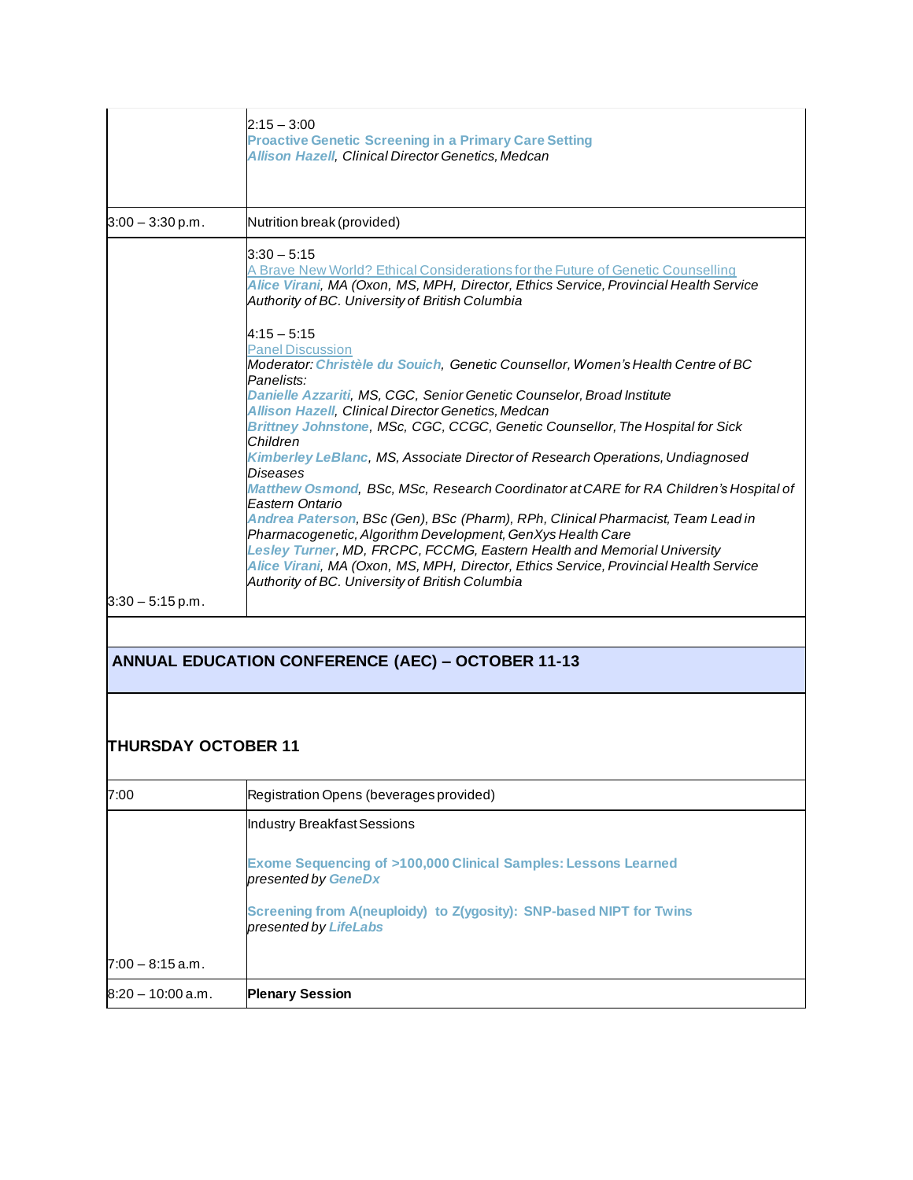|                    | $2:15 - 3:00$<br><b>Proactive Genetic Screening in a Primary Care Setting</b><br><b>Allison Hazell, Clinical Director Genetics, Medcan</b>                                                                                                                                                                                                                                                                                                                                                                                                                                  |
|--------------------|-----------------------------------------------------------------------------------------------------------------------------------------------------------------------------------------------------------------------------------------------------------------------------------------------------------------------------------------------------------------------------------------------------------------------------------------------------------------------------------------------------------------------------------------------------------------------------|
| $3:00 - 3:30$ p.m. | Nutrition break (provided)                                                                                                                                                                                                                                                                                                                                                                                                                                                                                                                                                  |
|                    | $3:30 - 5:15$<br>A Brave New World? Ethical Considerations for the Future of Genetic Counselling<br>Alice Virani, MA (Oxon, MS, MPH, Director, Ethics Service, Provincial Health Service<br>Authority of BC. University of British Columbia                                                                                                                                                                                                                                                                                                                                 |
|                    | $4:15 - 5:15$<br><b>Panel Discussion</b><br>Moderator: Christèle du Souich, Genetic Counsellor, Women's Health Centre of BC<br>Panelists:<br>Danielle Azzariti, MS, CGC, Senior Genetic Counselor, Broad Institute<br><b>Allison Hazell, Clinical Director Genetics, Medcan</b><br>Brittney Johnstone, MSc, CGC, CCGC, Genetic Counsellor, The Hospital for Sick<br>Children                                                                                                                                                                                                |
|                    | Kimberley LeBlanc, MS, Associate Director of Research Operations, Undiagnosed<br>Diseases<br>Matthew Osmond, BSc, MSc, Research Coordinator at CARE for RA Children's Hospital of<br>Eastern Ontario<br>Andrea Paterson, BSc (Gen), BSc (Pharm), RPh, Clinical Pharmacist, Team Lead in<br>Pharmacogenetic, Algorithm Development, GenXys Health Care<br>Lesley Turner, MD, FRCPC, FCCMG, Eastern Health and Memorial University<br>Alice Virani, MA (Oxon, MS, MPH, Director, Ethics Service, Provincial Health Service<br>Authority of BC. University of British Columbia |
| $3:30 - 5:15$ p.m. |                                                                                                                                                                                                                                                                                                                                                                                                                                                                                                                                                                             |

## **ANNUAL EDUCATION CONFERENCE (AEC) – OCTOBER 11-13**

## **THURSDAY OCTOBER 11**

| 7:00                | Registration Opens (beverages provided)                                                         |
|---------------------|-------------------------------------------------------------------------------------------------|
|                     | Industry Breakfast Sessions                                                                     |
|                     | <b>Exome Sequencing of &gt;100,000 Clinical Samples: Lessons Learned</b><br>presented by GeneDx |
|                     | Screening from A(neuploidy) to Z(ygosity): SNP-based NIPT for Twins<br>presented by LifeLabs    |
| $7:00 - 8:15$ a.m.  |                                                                                                 |
| $8:20 - 10:00$ a.m. | <b>Plenary Session</b>                                                                          |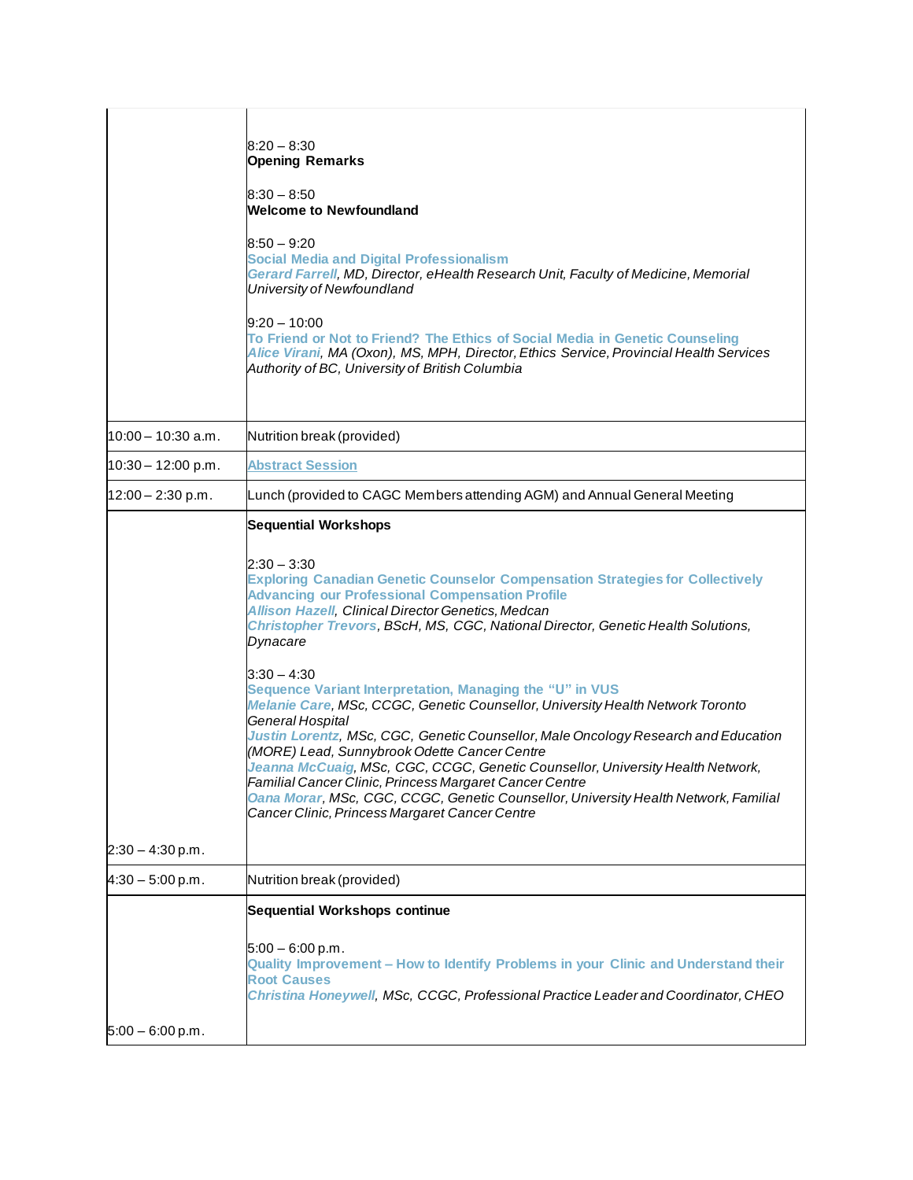|                      | $8:20 - 8:30$<br><b>Opening Remarks</b><br>8:30 – 8:50<br><b>Welcome to Newfoundland</b><br>$8:50 - 9:20$<br><b>Social Media and Digital Professionalism</b><br>Gerard Farrell, MD, Director, eHealth Research Unit, Faculty of Medicine, Memorial<br>University of Newfoundland<br>$9:20 - 10:00$<br>To Friend or Not to Friend? The Ethics of Social Media in Genetic Counseling<br>Alice Virani, MA (Oxon), MS, MPH, Director, Ethics Service, Provincial Health Services<br>Authority of BC, University of British Columbia                                                                                                                                                                                                                                                                                                                                                                                                                                            |
|----------------------|----------------------------------------------------------------------------------------------------------------------------------------------------------------------------------------------------------------------------------------------------------------------------------------------------------------------------------------------------------------------------------------------------------------------------------------------------------------------------------------------------------------------------------------------------------------------------------------------------------------------------------------------------------------------------------------------------------------------------------------------------------------------------------------------------------------------------------------------------------------------------------------------------------------------------------------------------------------------------|
| $10:00 - 10:30$ a.m. | Nutrition break (provided)                                                                                                                                                                                                                                                                                                                                                                                                                                                                                                                                                                                                                                                                                                                                                                                                                                                                                                                                                 |
| $10:30 - 12:00$ p.m. | <b>Abstract Session</b>                                                                                                                                                                                                                                                                                                                                                                                                                                                                                                                                                                                                                                                                                                                                                                                                                                                                                                                                                    |
| $12:00 - 2:30$ p.m.  | Lunch (provided to CAGC Members attending AGM) and Annual General Meeting                                                                                                                                                                                                                                                                                                                                                                                                                                                                                                                                                                                                                                                                                                                                                                                                                                                                                                  |
| $2:30 - 4:30$ p.m.   | <b>Sequential Workshops</b><br>$2:30 - 3:30$<br><b>Exploring Canadian Genetic Counselor Compensation Strategies for Collectively</b><br><b>Advancing our Professional Compensation Profile</b><br><b>Allison Hazell, Clinical Director Genetics, Medcan</b><br>Christopher Trevors, BScH, MS, CGC, National Director, Genetic Health Solutions,<br>Dynacare<br>$3:30 - 4:30$<br>Sequence Variant Interpretation, Managing the "U" in VUS<br>Melanie Care, MSc, CCGC, Genetic Counsellor, University Health Network Toronto<br>General Hospital<br>Justin Lorentz, MSc, CGC, Genetic Counsellor, Male Oncology Research and Education<br>(MORE) Lead, Sunnybrook Odette Cancer Centre<br>Jeanna McCuaig, MSc, CGC, CCGC, Genetic Counsellor, University Health Network,<br>Familial Cancer Clinic, Princess Margaret Cancer Centre<br>Oana Morar, MSc, CGC, CCGC, Genetic Counsellor, University Health Network, Familial<br>Cancer Clinic, Princess Margaret Cancer Centre |
| $4:30 - 5:00$ p.m.   | Nutrition break (provided)                                                                                                                                                                                                                                                                                                                                                                                                                                                                                                                                                                                                                                                                                                                                                                                                                                                                                                                                                 |
| $5:00 - 6:00 p.m.$   | Sequential Workshops continue<br>$5:00 - 6:00 p.m.$<br>Quality Improvement - How to Identify Problems in your Clinic and Understand their<br><b>Root Causes</b><br>Christina Honeywell, MSc, CCGC, Professional Practice Leader and Coordinator, CHEO                                                                                                                                                                                                                                                                                                                                                                                                                                                                                                                                                                                                                                                                                                                      |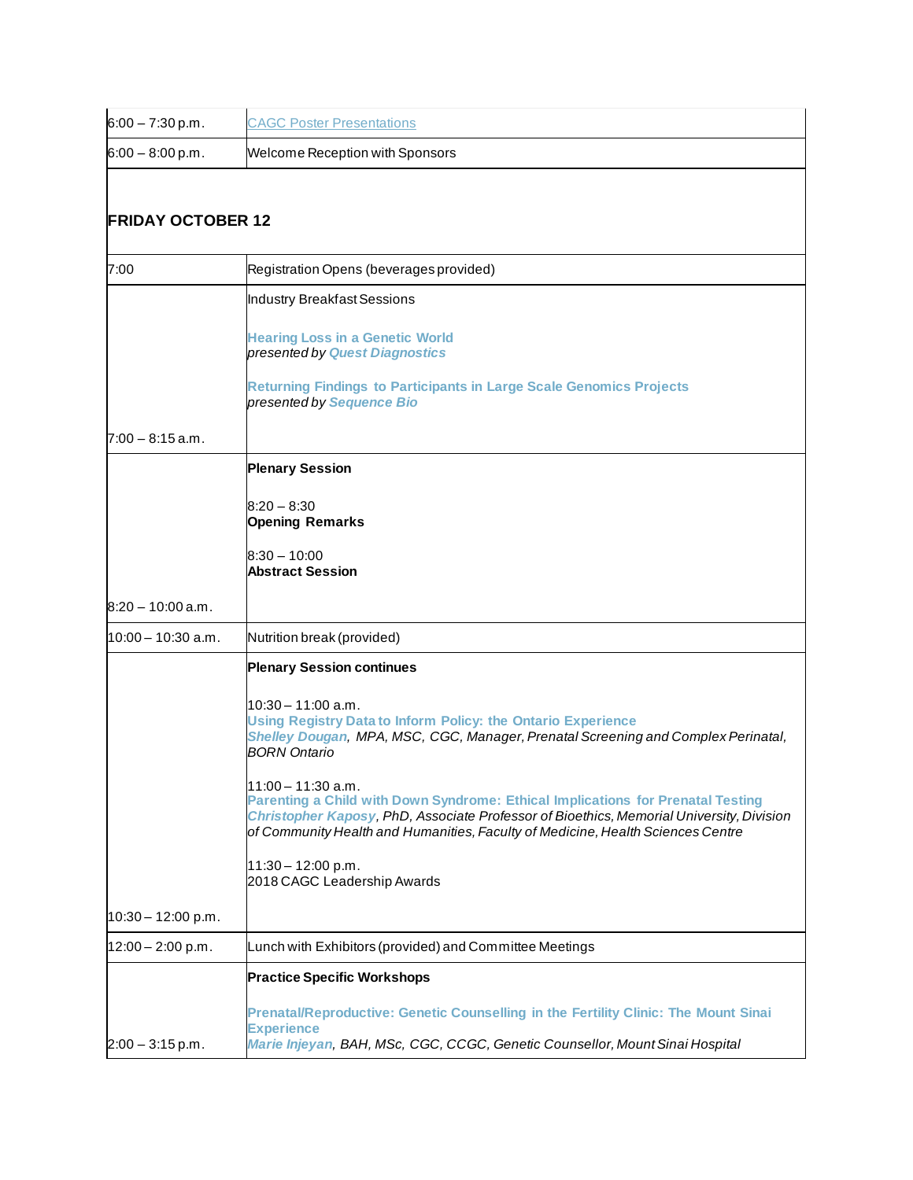| $6:00 - 7:30 p.m.$   | <b>CAGC Poster Presentations</b>                                                                                                                                                                                                                                                                                                                                                                                                                                                                                                                                                            |  |  |
|----------------------|---------------------------------------------------------------------------------------------------------------------------------------------------------------------------------------------------------------------------------------------------------------------------------------------------------------------------------------------------------------------------------------------------------------------------------------------------------------------------------------------------------------------------------------------------------------------------------------------|--|--|
| $6:00 - 8:00 p.m.$   | <b>Welcome Reception with Sponsors</b>                                                                                                                                                                                                                                                                                                                                                                                                                                                                                                                                                      |  |  |
|                      | <b>FRIDAY OCTOBER 12</b>                                                                                                                                                                                                                                                                                                                                                                                                                                                                                                                                                                    |  |  |
| 7:00                 | Registration Opens (beverages provided)                                                                                                                                                                                                                                                                                                                                                                                                                                                                                                                                                     |  |  |
|                      | Industry Breakfast Sessions<br><b>Hearing Loss in a Genetic World</b><br>presented by Quest Diagnostics<br><b>Returning Findings to Participants in Large Scale Genomics Projects</b><br>presented by Sequence Bio                                                                                                                                                                                                                                                                                                                                                                          |  |  |
| $7:00 - 8:15$ a.m.   |                                                                                                                                                                                                                                                                                                                                                                                                                                                                                                                                                                                             |  |  |
|                      | <b>Plenary Session</b><br>$8:20 - 8:30$<br><b>Opening Remarks</b><br>$8:30 - 10:00$<br><b>Abstract Session</b>                                                                                                                                                                                                                                                                                                                                                                                                                                                                              |  |  |
| $8:20 - 10:00$ a.m.  |                                                                                                                                                                                                                                                                                                                                                                                                                                                                                                                                                                                             |  |  |
| l10:00 – 10:30 a.m.  | Nutrition break (provided)                                                                                                                                                                                                                                                                                                                                                                                                                                                                                                                                                                  |  |  |
| $10:30 - 12:00 p.m.$ | <b>Plenary Session continues</b><br>l10:30 – 11:00 a.m.<br><b>Using Registry Data to Inform Policy: the Ontario Experience</b><br>Shelley Dougan, MPA, MSC, CGC, Manager, Prenatal Screening and Complex Perinatal,<br><b>BORN</b> Ontario<br>$11:00 - 11:30$ a.m.<br>Parenting a Child with Down Syndrome: Ethical Implications for Prenatal Testing<br>Christopher Kaposy, PhD, Associate Professor of Bioethics, Memorial University, Division<br>of Community Health and Humanities, Faculty of Medicine, Health Sciences Centre<br>$11:30 - 12:00$ p.m.<br>2018 CAGC Leadership Awards |  |  |
| $12:00 - 2:00$ p.m.  | Lunch with Exhibitors (provided) and Committee Meetings                                                                                                                                                                                                                                                                                                                                                                                                                                                                                                                                     |  |  |
| $2:00 - 3:15$ p.m.   | <b>Practice Specific Workshops</b><br>Prenatal/Reproductive: Genetic Counselling in the Fertility Clinic: The Mount Sinai<br><b>Experience</b><br>Marie Injeyan, BAH, MSc, CGC, CCGC, Genetic Counsellor, Mount Sinai Hospital                                                                                                                                                                                                                                                                                                                                                              |  |  |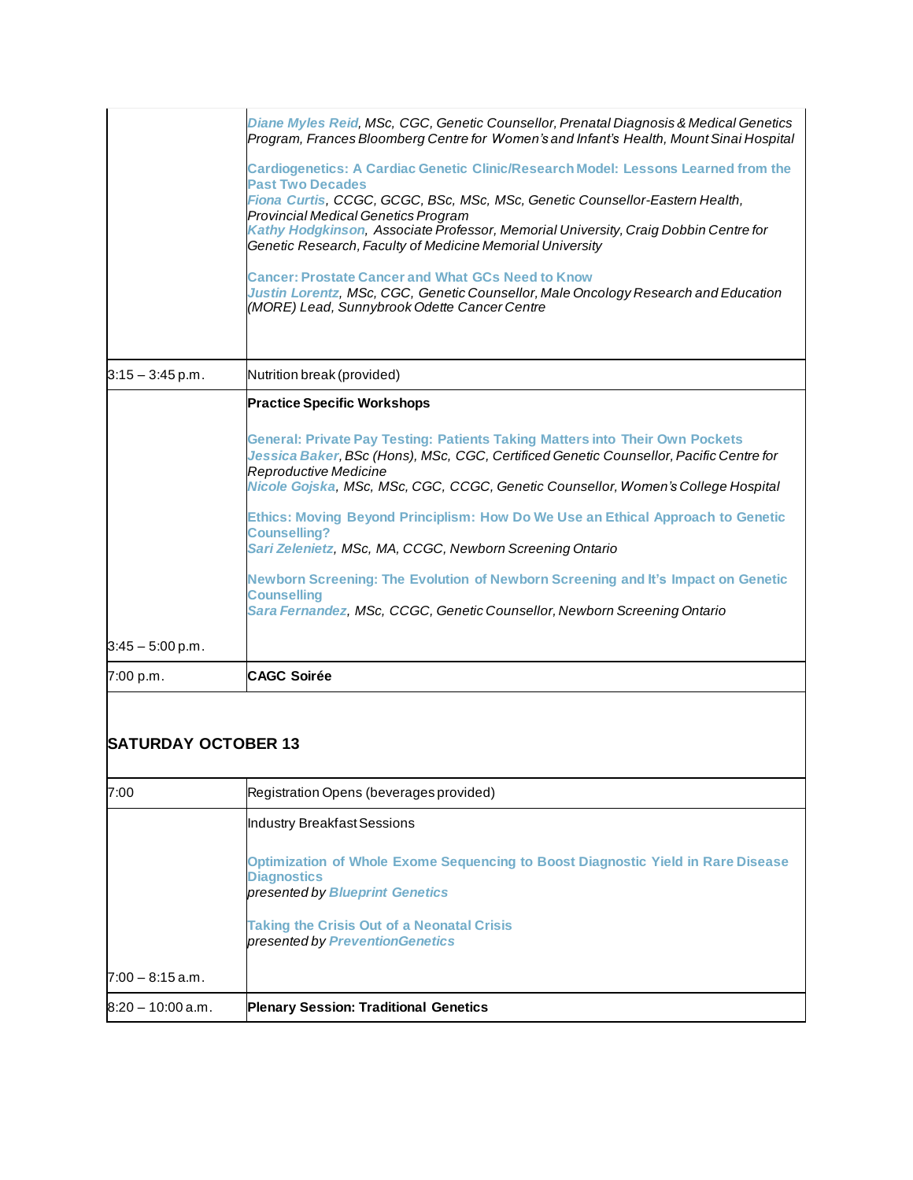## **SATURDAY OCTOBER 13**

| 7:00                | Registration Opens (beverages provided)                                                                                                          |
|---------------------|--------------------------------------------------------------------------------------------------------------------------------------------------|
|                     | Industry Breakfast Sessions                                                                                                                      |
|                     | Optimization of Whole Exome Sequencing to Boost Diagnostic Yield in Rare Disease<br><b>Diagnostics</b><br>presented by <b>Blueprint Genetics</b> |
|                     | <b>Taking the Crisis Out of a Neonatal Crisis</b><br>presented by PreventionGenetics                                                             |
| $7:00 - 8:15$ a.m.  |                                                                                                                                                  |
| $8:20 - 10:00$ a.m. | <b>Plenary Session: Traditional Genetics</b>                                                                                                     |